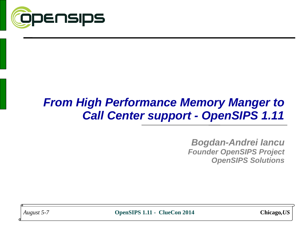

## *From High Performance Memory Manger to Call Center support - OpenSIPS 1.11*

*Bogdan-Andrei Iancu Founder OpenSIPS Project OpenSIPS Solutions*

*August 5-7* **OpenSIPS 1.11 - ClueCon 2014 Chicago***,US*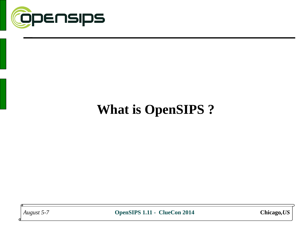

# **What is OpenSIPS ?**

*August 5-7* **OpenSIPS 1.11 - ClueCon 2014 Chicago***,US*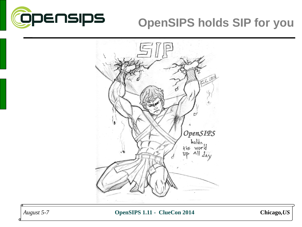

## **OpenSIPS holds SIP for you**



*August 5-7* **OpenSIPS 1.11 - ClueCon 2014 Chicago***,US*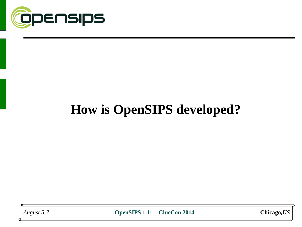

# **How is OpenSIPS developed?**

*August 5-7* **OpenSIPS 1.11 - ClueCon 2014 Chicago***,US*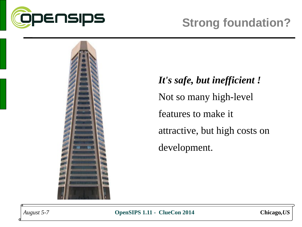



*It's safe, but inefficient !* Not so many high-level features to make it attractive, but high costs on development.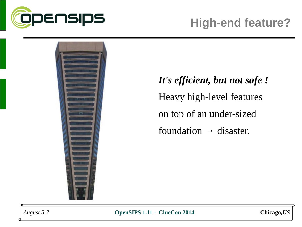



*It's efficient, but not safe !* Heavy high-level features on top of an under-sized foundation  $\rightarrow$  disaster.



*August 5-7* **OpenSIPS 1.11 - ClueCon 2014 Chicago***,US*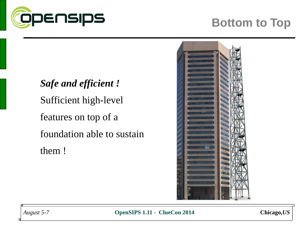

## **Bottom to Top**

*Safe and efficient !* Sufficient high-level features on top of a foundation able to sustain them !



*August 5-7* **OpenSIPS 1.11 - ClueCon 2014 Chicago***,US*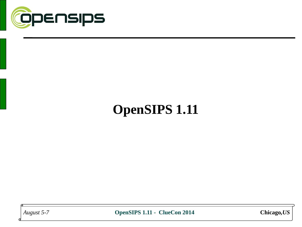

# **OpenSIPS 1.11**

*August 5-7* **OpenSIPS 1.11 - ClueCon 2014 Chicago***,US*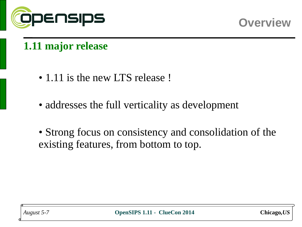



#### **1.11 major release**

- 1.11 is the new LTS release !
- addresses the full verticality as development
- Strong focus on consistency and consolidation of the existing features, from bottom to top.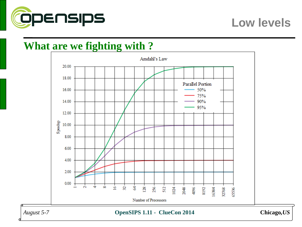

#### **Low levels**

#### **What are we fighting with ?**

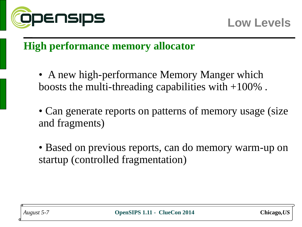

#### **High performance memory allocator**

- A new high-performance Memory Manger which boosts the multi-threading capabilities with +100% .
- Can generate reports on patterns of memory usage (size and fragments)
- Based on previous reports, can do memory warm-up on startup (controlled fragmentation)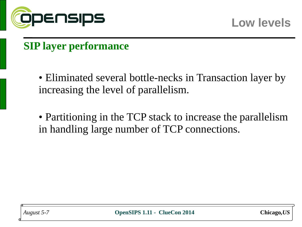

#### **SIP layer performance**

• Eliminated several bottle-necks in Transaction layer by increasing the level of parallelism.

• Partitioning in the TCP stack to increase the parallelism in handling large number of TCP connections.

*August 5-7* **OpenSIPS 1.11 - ClueCon 2014 Chicago***,US*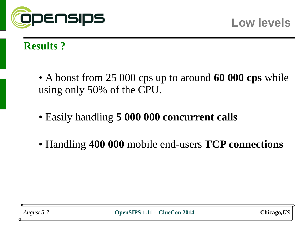

#### **Results ?**

- A boost from 25 000 cps up to around **60 000 cps** while using only 50% of the CPU.
- Easily handling **5 000 000 concurrent calls**
- Handling **400 000** mobile end-users **TCP connections**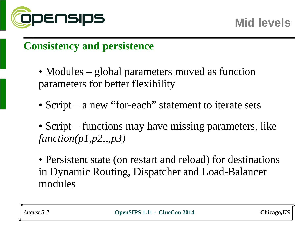

#### **Consistency and persistence**

- Modules global parameters moved as function parameters for better flexibility
- Script a new "for-each" statement to iterate sets
- Script functions may have missing parameters, like *function(p1,p2,,,p3)*
- Persistent state (on restart and reload) for destinations in Dynamic Routing, Dispatcher and Load-Balancer modules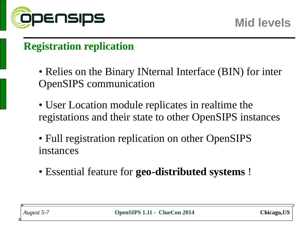

## **Registration replication**

- Relies on the Binary INternal Interface (BIN) for inter OpenSIPS communication
- User Location module replicates in realtime the registations and their state to other OpenSIPS instances
- Full registration replication on other OpenSIPS instances
- Essential feature for **geo-distributed systems** !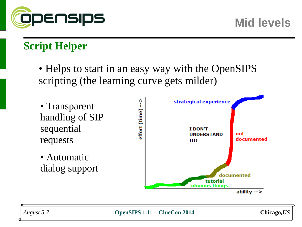

## **Script Helper**

• Helps to start in an easy way with the OpenSIPS scripting (the learning curve gets milder)

- Transparent handling of SIP sequential requests
- Automatic dialog support



*August 5-7* **OpenSIPS 1.11 - ClueCon 2014 Chicago***,US*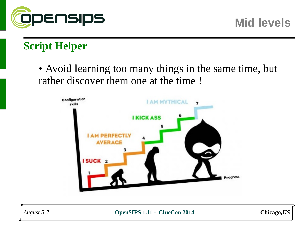

## **Script Helper**

• Avoid learning too many things in the same time, but rather discover them one at the time !



*August 5-7* **OpenSIPS 1.11 - ClueCon 2014 Chicago***,US*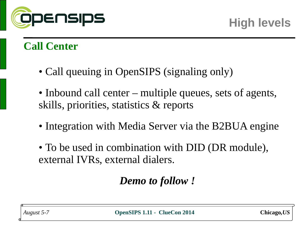

- Call queuing in OpenSIPS (signaling only)
- Inbound call center multiple queues, sets of agents, skills, priorities, statistics & reports
- Integration with Media Server via the B2BUA engine
- To be used in combination with DID (DR module), external IVRs, external dialers.

## *Demo to follow !*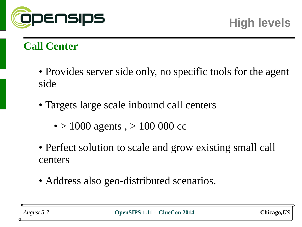

- Provides server side only, no specific tools for the agent side
- Targets large scale inbound call centers
	- $> 1000$  agents,  $> 100000$  cc
- Perfect solution to scale and grow existing small call centers
- Address also geo-distributed scenarios.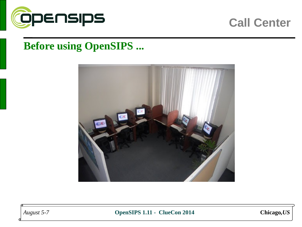

#### **Before using OpenSIPS ...**



*August 5-7* **OpenSIPS 1.11 - ClueCon 2014 Chicago***,US*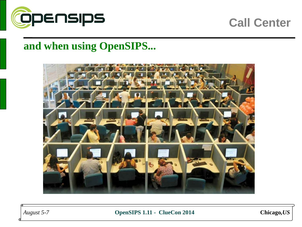

#### **and when using OpenSIPS...**



*August 5-7* **OpenSIPS 1.11 - ClueCon 2014 Chicago***,US*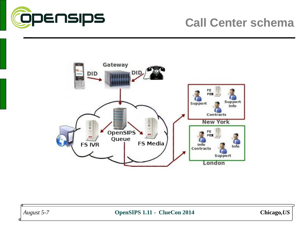

#### **Call Center schema**



*August 5-7* **OpenSIPS 1.11 - ClueCon 2014 Chicago***,US*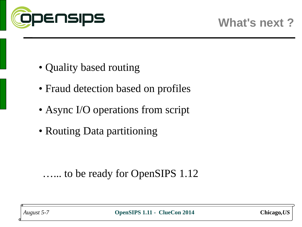

- Quality based routing
- Fraud detection based on profiles
- Async I/O operations from script
- Routing Data partitioning

## …... to be ready for OpenSIPS 1.12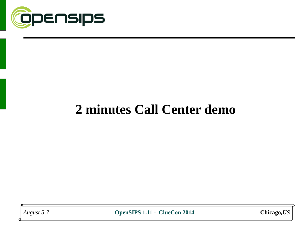

## **2 minutes Call Center demo**

*August 5-7* **OpenSIPS 1.11 - ClueCon 2014 Chicago***,US*